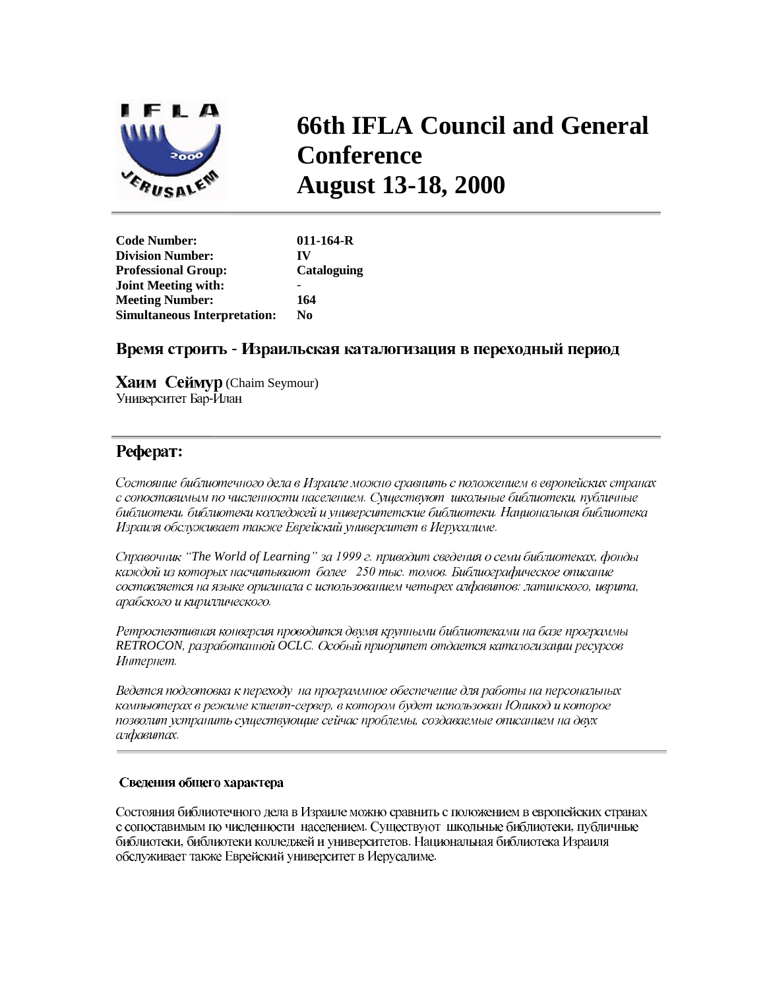

# **66th IFLA Council and General Conference August 13-18, 2000**

| <b>Code Number:</b>                 | $011 - 164 - R$ |
|-------------------------------------|-----------------|
| <b>Division Number:</b>             | IV              |
| <b>Professional Group:</b>          | Cataloguing     |
| <b>Joint Meeting with:</b>          |                 |
| <b>Meeting Number:</b>              | 164             |
| <b>Simultaneous Interpretation:</b> | No.             |

# Время строить - Израильская каталогизация в переходный период

**Хаим Сеймур** (Chaim Seymour) Университет Бар-Илан

# Pedepar:

Состояние библиотечного дела в Израиле можно сравнить с положением в европейских странах с сопоставимым по численности населением. Существуют школьные библиотеки, публичные библиотеки, библиотеки колледжей и университетские библиотеки. Национальная библиотека Израиля обслуживает также Еврейский университет в Иерусалиме.

*³The World of Learning´* каждой из которых насчитывают более 250 тыс. томов. Библиографическое описание составляется на языке оригинала с использованием четырех алфавитов: латинского, иврита, арабского и кириллического.

Ретроспективная конверсия проводится двумя крупными библиотеками на базе программы RETROCON, разработанной OCLC. Особый приоритет отдается каталогизации ресурсов Интернет.

Ведется подготовка к переходу на программное обеспечение для работы на персональных компьютерах в режиме клиент-сервер, в котором будет использован Юникод и которое позволит устранить существующие сейчас проблемы, создаваемые описанием на двух алфавитах.

# Сведения общего характера

Состояния библиотечного дела в Израиле можно сравнить с положением в европейских странах с сопоставимым по численности населением. Существуют школьные библиотеки, публичные библиотеки, библиотеки колледжей и университетов. Национальная библиотека Израиля обслуживает также Еврейский университет в Иерусалиме.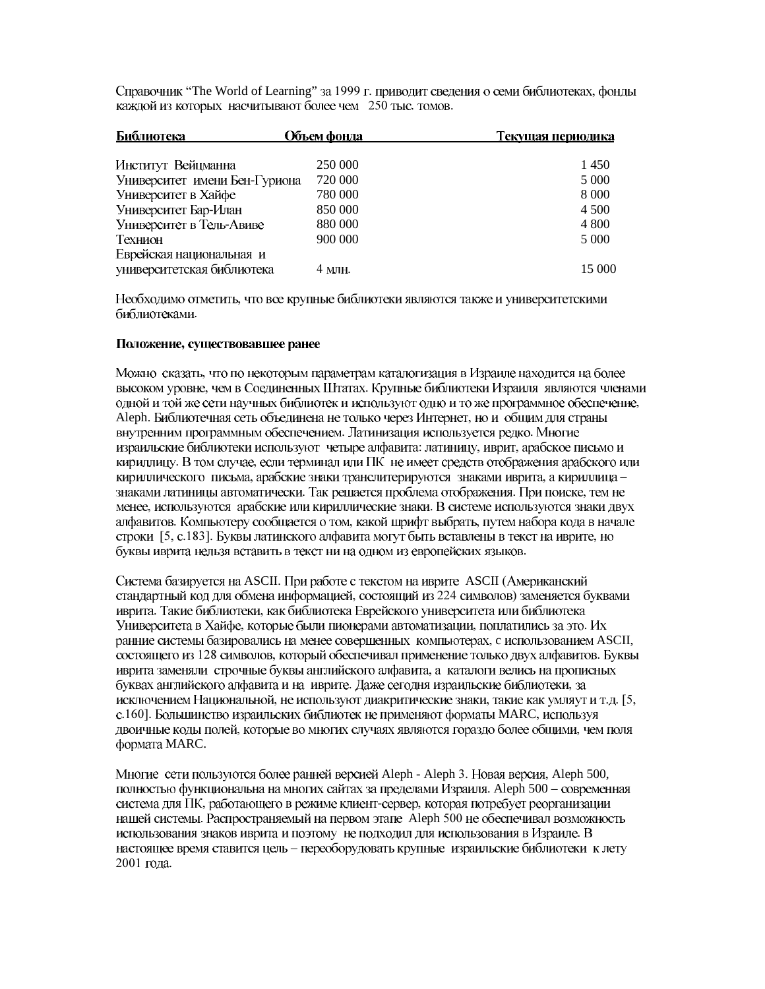Справочник "The World of Learning" за 1999 г. приводит сведения о семи библиотеках, фонды каждой из которых насчитывают более чем 250 тыс. томов.

| Библиотека                    | Объем фонда | Текущая периодика |
|-------------------------------|-------------|-------------------|
| Институт Вейцманна            | 250 000     | 1450              |
| Университет имени Бен-Гуриона | 720 000     | 5 0 0 0           |
| Университет в Хайфе           | 780 000     | 8 0 0 0           |
| Университет Бар-Илан          | 850 000     | 4 5 0 0           |
| Университет в Тель-Авиве      | 880 000     | 4 800             |
| Технион                       | 900 000     | 5 0 0 0           |
| Еврейская национальная и      |             |                   |
| университетская библиотека    | 4 млн.      | 15 000            |

Необходимо отметить, что все крупные библиотеки являются также и университетскими библиотеками.

# Положение, существовавшее ранее

Можно сказать, что по некоторым параметрам каталогизация в Израиле находится на более высоком уровне, чем в Соединенных Штатах. Крупные библиотеки Израиля являются членами одной и той же сети научных библиотек и используют одно и то же программное обеспечение, Aleph. Библиотечная сеть объединена не только через Интернет, но и общим для страны внутренним программным обеспечением. Латинизация используется редко. Многие израильские библиотеки используют четыре алфавита: латиницу, иврит, арабское письмо и кириллицу. В том случае, если терминал или ПК не имеет средств отображения арабского или кириллического письма, арабские знаки транслитерируются знаками иврита, а кириллица знаками латиницы автоматически. Так решается проблема отображения. При поиске, тем не менее, используются арабские или кириллические знаки. В системе используются знаки двух алфавитов. Компьютеру сообщается о том, какой шрифт выбрать, путем набора кода в начале строки [5, с.183]. Буквы латинского алфавита могут быть вставлены в текст на иврите, но буквы иврита нельзя вставить в текст ни на одном из европейских языков.

Система базируется на ASCII. При работе с текстом на иврите ASCII (Американский стандартный код для обмена информацией, состоящий из 224 символов) заменяется буквами иврита. Такие библиотеки, как библиотека Еврейского университета или библиотека Университета в Хайфе, которые были пионерами автоматизации, поплатились за это. Их ранние системы базировались на менее совершенных компьютерах, с использованием ASCII, состоящего из 128 символов, который обеспечивал применение только двух алфавитов. Буквы иврита заменяли строчные буквы английского алфавита, а каталоги велись на прописных буквах английского алфавита и на иврите. Даже сегодня израильские библиотеки, за исключением Национальной, не используют диакритические знаки, такие как умляут и т.д. [5, с.160]. Большинство израильских библиотек не применяют форматы MARC, используя двоичные коды полей, которые во многих случаях являются гораздо более общими, чем поля формата MARC.

Многие сети пользуются более ранней версией Aleph - Aleph 3. Новая версия, Aleph 500, полностью функциональна на многих сайтах за пределами Израиля. Aleph 500 – современная система для ПК, работающего в режиме клиент-сервер, которая потребует реорганизации нашей системы. Распространяемый на первом этапе Aleph 500 не обеспечивал возможность использования знаков иврита и поэтому не подходил для использования в Израиле. В настоящее время ставится цель - переоборудовать крупные израильские библиотеки к лету 2001 года.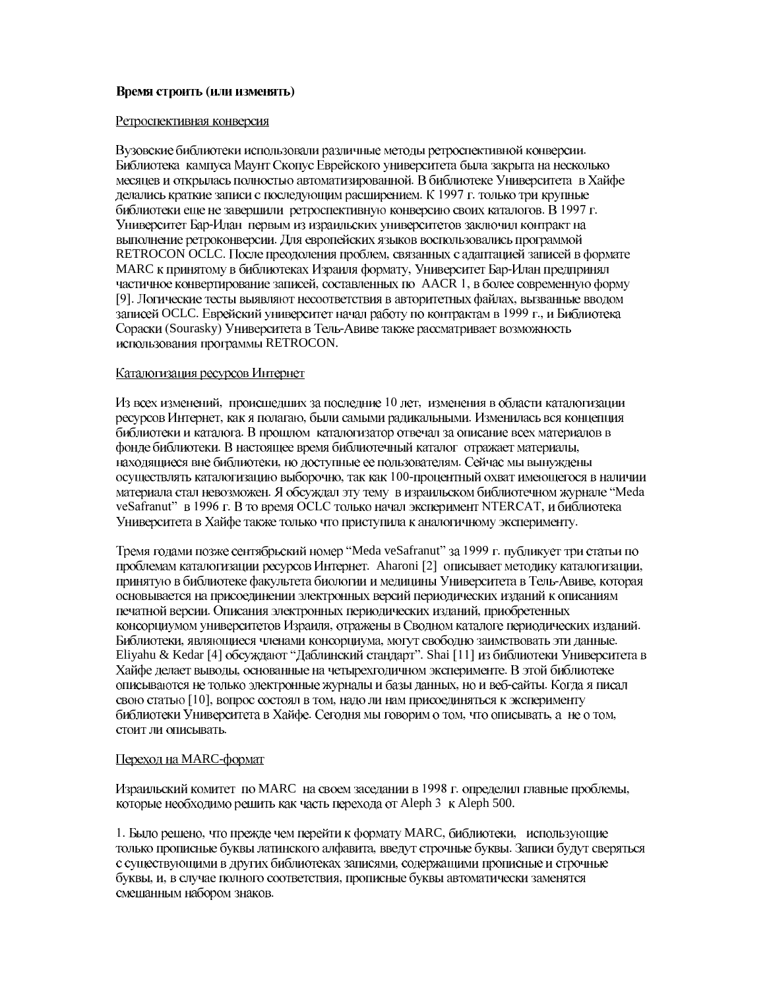#### Время строить (или изменять)

#### Ретроспективная конверсия

Вузовские библиотеки использовали различные методы ретроспективной конверсии. Библиотека кампуса Маунт Скопус Еврейского университета была закрыта на несколько месяцев и открылась полностью автоматизированной. В библиотеке Университета в Хайфе делались краткие записи с последующим расширением. К 1997 г. только три крупные библиотеки еще не завершили ретроспективную конверсию своих каталогов. В 1997 г. Университет Бар-Илан первым из израильских университетов заключил контракт на выполнение ретроконверсии. Для европейских языков воспользовались программой RETROCON OCLC. После преодоления проблем, связанных с адаптацией записей в формате МАRС к принятому в библиотеках Израиля формату, Университет Бар-Илан предпринял частичное конвертирование записей, составленных по AACR 1, в более современную форму [9]. Логические тесты выявляют несоответствия в авторитетных файлах, вызванные вводом записей OCLC. Еврейский университет начал работу по контрактам в 1999 г., и Библиотека Сораски (Sourasky) Университета в Тель-Авиве также рассматривает возможность использования программы RETROCON.

#### Каталогизация ресурсов Интернет

Из всех изменений, происшедших за последние 10 лет, изменения в области каталогизации ресурсов Интернет, как я полагаю, были самыми радикальными. Изменилась вся концепция библиотеки и каталога. В прошлом каталогизатор отвечал за описание всех материалов в фонде библиотеки. В настоящее время библиотечный каталог отражает материалы, находящиеся вне библиотеки, но доступные ее пользователям. Сейчас мы вынуждены осуществлять каталогизацию выборочно, так как 100-процентный охват имеющегося в наличии материала стал невозможен. Я обсуждал эту тему в израильском библиотечном журнале "Meda veSafranut" в 1996 г. В то время ОСLС только начал эксперимент NTERCAT, и библиотека Университета в Хайфе также только что приступила к аналогичному эксперименту.

Тремя годами позже сентябрьский номер "Meda veSafranut" за 1999 г. публикует три статьи по проблемам каталогизации ресурсов Интернет. Aharoni [2] описывает методику каталогизации, принятую в библиотеке факультета биологии и медицины Университета в Тель-Авиве, которая основывается на присоединении электронных версий периодических изданий к описаниям печатной версии. Описания электронных периодических изданий, приобретенных консорциумом университетов Израиля, отражены в Сводном каталоге периодических изданий. Библиотеки, являющиеся членами консорциума, могут свободно заимствовать эти данные. Eliyahu & Kedar [4] обсуждают "Даблинский стандарт". Shai [11] из библиотеки Университета в Хайфе делает выводы, основанные на четырехгодичном эксперименте. В этой библиотеке описываются не только электронные журналы и базы данных, но и веб-сайты. Когда я писал свою статью [10], вопрос состоял в том, надо ли нам присоединяться к эксперименту библиотеки Университета в Хайфе. Сегодня мы говорим о том, что описывать, а не о том, стоит ли описывать.

# Переход на MARC-формат

Израильский комитет по MARC на своем заседании в 1998 г. определил главные проблемы, которые необходимо решить как часть перехода от Aleph 3 к Aleph 500.

1. Было решено, что прежде чем перейти к формату MARC, библиотеки, использующие только прописные буквы латинского алфавита, введут строчные буквы. Записи будут сверяться с существующими в других библиотеках записями, содержащими прописные и строчные буквы, и, в случае полного соответствия, прописные буквы автоматически заменятся смешанным набором знаков.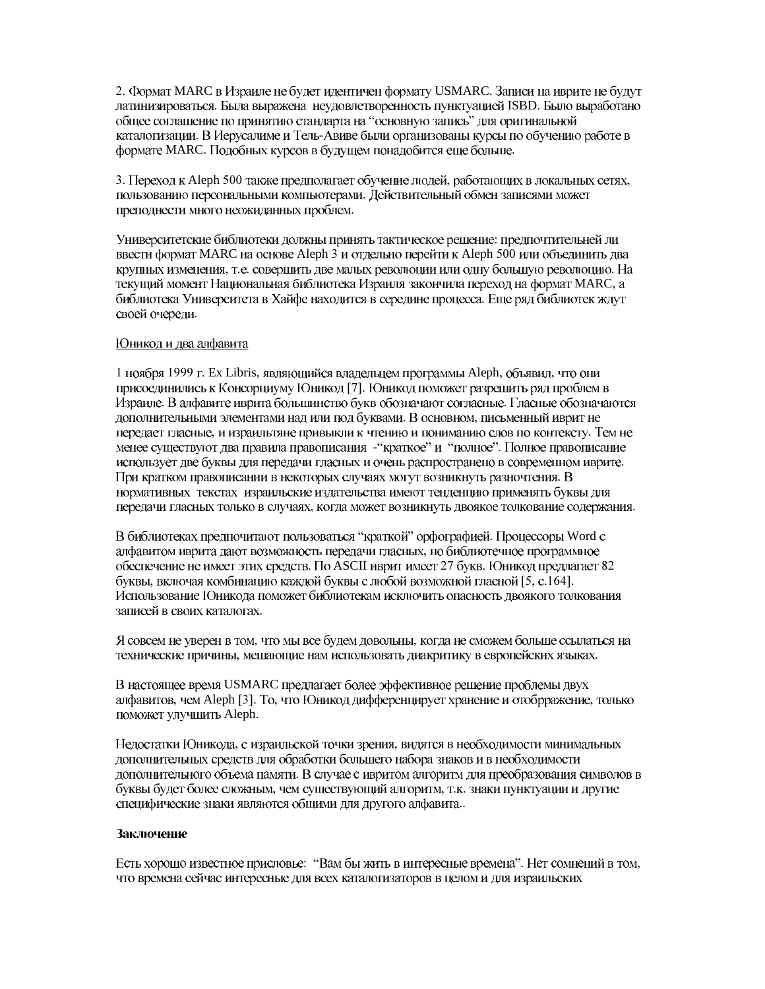2. Формат MARC в Израиле не будет идентичен формату USMARC. Записи на иврите не будут латинизироваться. Была выражена неудовлетворенность пунктуацией ISBD. Было выработано общее соглашение по принятию стандарта на "основную запись" для оригинальной каталогизации. В Иерусалиме и Тель-Авиве были организованы курсы по обучению работе в формате MARC. Подобных курсов в будущем понадобится еще больше.

3. Переход к Aleph 500 также предполагает обучение людей, работающих в локальных сетях, пользованию персональными компьютерами. Действительный обмен записями может преподнести много неожиданных проблем.

Университетские библиотеки должны принять тактическое решение: предпочтительней ли ввести формат MARC на основе Aleph 3 и отдельно перейти к Aleph 500 или объединить два крупных изменения, т.е. совершить две малых революции или одну большую революцию. На текущий момент Национальная библиотека Израиля закончила переход на формат MARC, а библиотека Университета в Хайфе находится в середине процесса. Еще ряд библиотек ждут своей очереди.

# Юникод и два алфавита

1 ноября 1999 г. Ex Libris, являющийся владельцем программы Aleph, объявил, что они присоединились к Консорциуму Юникод [7]. Юникод поможет разрешить ряд проблем в Израиле. В алфавите иврита большинство букв обозначают согласные. Гласные обозначаются дополнительными элементами над или под буквами. В основном, письменный иврит не передает гласные, и израильтяне привыкли к чтению и пониманию слов по контексту. Тем не менее существуют два правила правописания - "краткое" и "полное". Полное правописание использует две буквы для передачи гласных и очень распространено в современном иврите. При кратком правописании в некоторых случаях могут возникнуть разночтения. В нормативных текстах израильские издательства имеют тенденцию применять буквы для передачи гласных только в случаях, когда может возникнуть двоякое толкование содержания.

В библиотеках предпочитают пользоваться "краткой" орфографией. Процессоры Word с алфавитом иврита дают возможность передачи гласных, но библиотечное программное обеспечение не имеет этих средств. По ASCII иврит имеет 27 букв. Юникод предлагает 82 буквы, включая комбинацию каждой буквы с любой возможной гласной [5, с.164]. Использование Юникода поможет библиотекам исключить опасность двоякого толкования записей в своих каталогах.

Я совсем не уверен в том, что мы все будем довольны, когда не сможем больше ссылаться на технические причины, мешающие нам использовать диакритику в европейских языках.

В настоящее время USMARC предлагает более эффективное решение проблемы двух алфавитов, чем Aleph [3]. То, что Юникод дифференцирует хранение и отобрражение, только поможет улучшить Aleph.

Недостатки Юникода, с израильской точки зрения, видятся в необходимости минимальных дополнительных средств для обработки большего набора знаков и в необходимости дополнительного объема памяти. В случае с ивритом алгоритм для преобразования символов в буквы будет более сложным, чем существующий алгоритм, т.к. знаки пунктуации и другие специфические знаки являются общими для другого алфавита..

# Заключение

Есть хорошо известное присловье: "Вам бы жить в интересные времена". Нет сомнений в том, что времена сейчас интересные для всех каталогизаторов в целом и для израильских